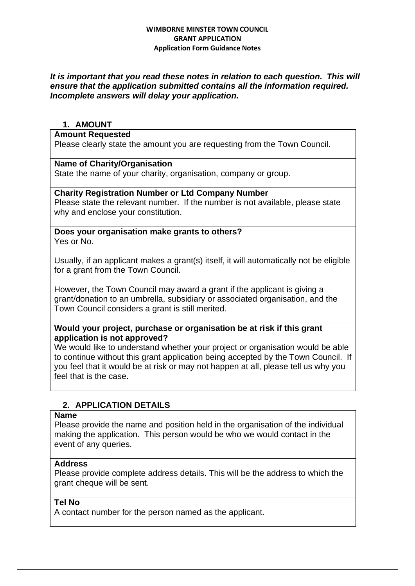# *It is important that you read these notes in relation to each question. This will ensure that the application submitted contains all the information required. Incomplete answers will delay your application.*

# **1. AMOUNT**

### **Amount Requested**

Please clearly state the amount you are requesting from the Town Council.

## **Name of Charity/Organisation**

State the name of your charity, organisation, company or group.

## **Charity Registration Number or Ltd Company Number**

Please state the relevant number. If the number is not available, please state why and enclose your constitution.

### **Does your organisation make grants to others?** Yes or No.

Usually, if an applicant makes a grant(s) itself, it will automatically not be eligible for a grant from the Town Council.

However, the Town Council may award a grant if the applicant is giving a grant/donation to an umbrella, subsidiary or associated organisation, and the Town Council considers a grant is still merited.

# **Would your project, purchase or organisation be at risk if this grant application is not approved?**

We would like to understand whether your project or organisation would be able to continue without this grant application being accepted by the Town Council. If you feel that it would be at risk or may not happen at all, please tell us why you feel that is the case.

# **2. APPLICATION DETAILS**

## **Name**

Please provide the name and position held in the organisation of the individual making the application. This person would be who we would contact in the event of any queries.

# **Address**

Please provide complete address details. This will be the address to which the grant cheque will be sent.

### **Tel No**

A contact number for the person named as the applicant.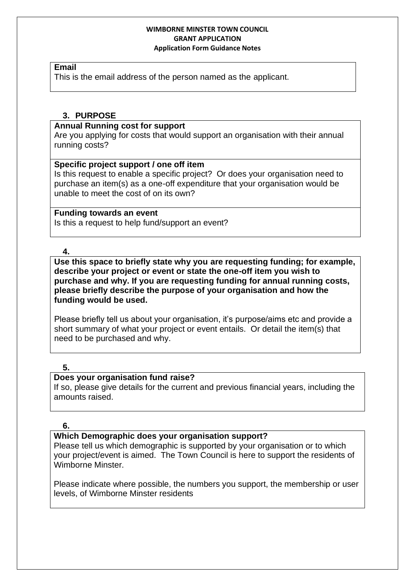#### **Email**

This is the email address of the person named as the applicant.

# **3. PURPOSE**

## **Annual Running cost for support**

Are you applying for costs that would support an organisation with their annual running costs?

## **Specific project support / one off item**

Is this request to enable a specific project? Or does your organisation need to purchase an item(s) as a one-off expenditure that your organisation would be unable to meet the cost of on its own?

## **Funding towards an event**

Is this a request to help fund/support an event?

**4.**

**Use this space to briefly state why you are requesting funding; for example, describe your project or event or state the one-off item you wish to purchase and why. If you are requesting funding for annual running costs, please briefly describe the purpose of your organisation and how the funding would be used.**

Please briefly tell us about your organisation, it's purpose/aims etc and provide a short summary of what your project or event entails. Or detail the item(s) that need to be purchased and why.

# **5.**

# **Does your organisation fund raise?**

If so, please give details for the current and previous financial years, including the amounts raised.

# **6.**

# **Which Demographic does your organisation support?**

Please tell us which demographic is supported by your organisation or to which your project/event is aimed. The Town Council is here to support the residents of Wimborne Minster.

Please indicate where possible, the numbers you support, the membership or user levels, of Wimborne Minster residents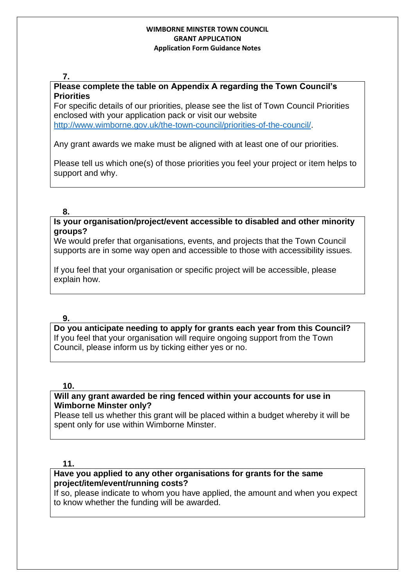### **7.**

# **Please complete the table on Appendix A regarding the Town Council's Priorities**

For specific details of our priorities, please see the list of Town Council Priorities enclosed with your application pack or visit our website [http://www.wimborne.gov.uk/the-town-council/priorities-of-the-council/.](http://www.wimborne.gov.uk/the-town-council/priorities-of-the-council/)

Any grant awards we make must be aligned with at least one of our priorities.

Please tell us which one(s) of those priorities you feel your project or item helps to support and why.

### **8.**

**Is your organisation/project/event accessible to disabled and other minority groups?**

We would prefer that organisations, events, and projects that the Town Council supports are in some way open and accessible to those with accessibility issues.

If you feel that your organisation or specific project will be accessible, please explain how.

### **9.**

**Do you anticipate needing to apply for grants each year from this Council?**  If you feel that your organisation will require ongoing support from the Town Council, please inform us by ticking either yes or no.

### **10.**

# **Will any grant awarded be ring fenced within your accounts for use in Wimborne Minster only?**

Please tell us whether this grant will be placed within a budget whereby it will be spent only for use within Wimborne Minster.

### **11.**

# **Have you applied to any other organisations for grants for the same project/item/event/running costs?**

If so, please indicate to whom you have applied, the amount and when you expect to know whether the funding will be awarded.